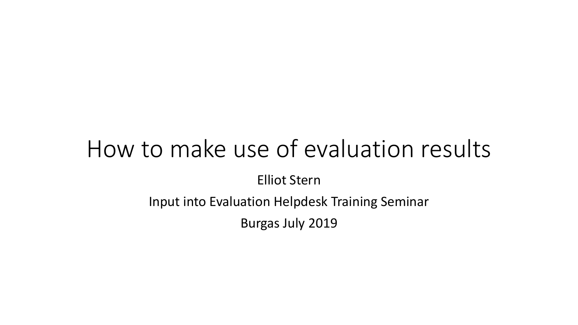Elliot Stern

Input into Evaluation Helpdesk Training Seminar

Burgas July 2019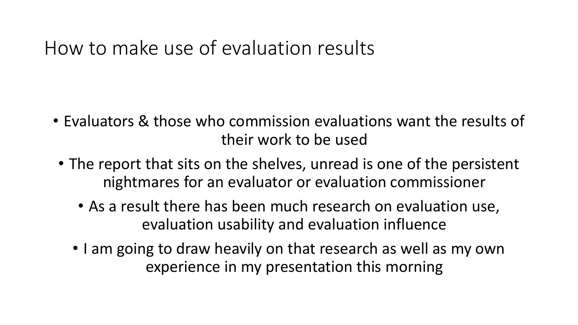- Evaluators & those who commission evaluations want the results of their work to be used
- The report that sits on the shelves, unread is one of the persistent nightmares for an evaluator or evaluation commissioner
	- As a result there has been much research on evaluation use, evaluation usability and evaluation influence
	- I am going to draw heavily on that research as well as my own experience in my presentation this morning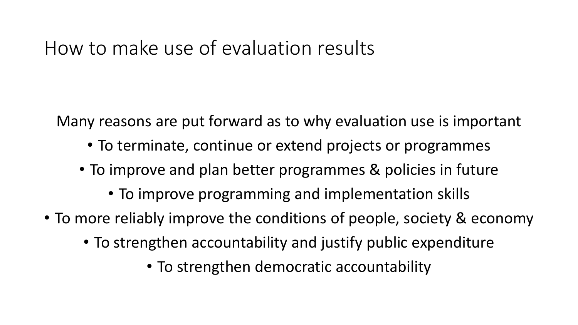Many reasons are put forward as to why evaluation use is important

- To terminate, continue or extend projects or programmes
- To improve and plan better programmes & policies in future
	- To improve programming and implementation skills
- To more reliably improve the conditions of people, society & economy
	- To strengthen accountability and justify public expenditure
		- To strengthen democratic accountability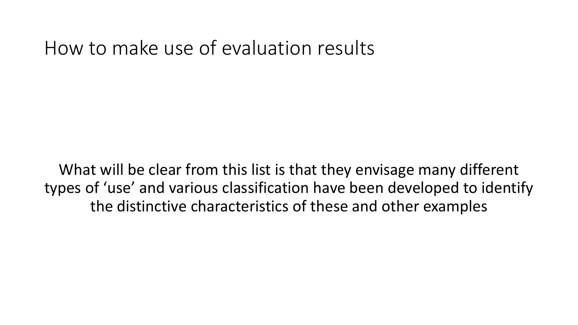What will be clear from this list is that they envisage many different types of 'use' and various classification have been developed to identify the distinctive characteristics of these and other examples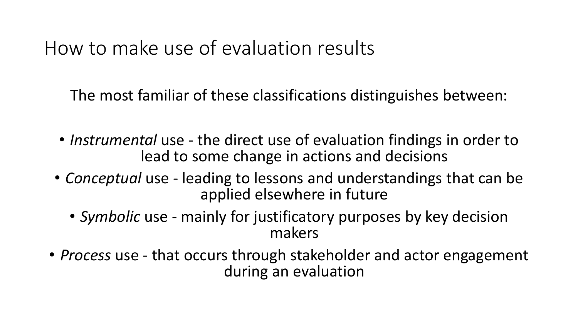The most familiar of these classifications distinguishes between:

- *Instrumental* use the direct use of evaluation findings in order to lead to some change in actions and decisions
- *Conceptual* use leading to lessons and understandings that can be applied elsewhere in future
	- *Symbolic* use mainly for justificatory purposes by key decision makers
- *Process* use that occurs through stakeholder and actor engagement during an evaluation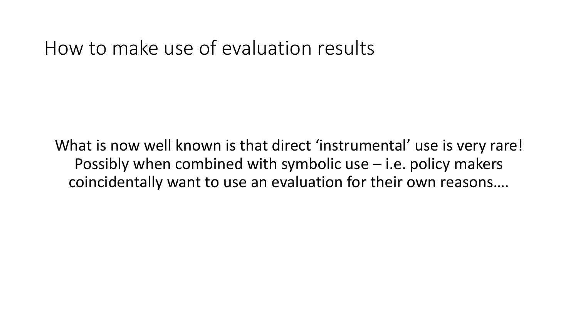What is now well known is that direct 'instrumental' use is very rare! Possibly when combined with symbolic use – i.e. policy makers coincidentally want to use an evaluation for their own reasons….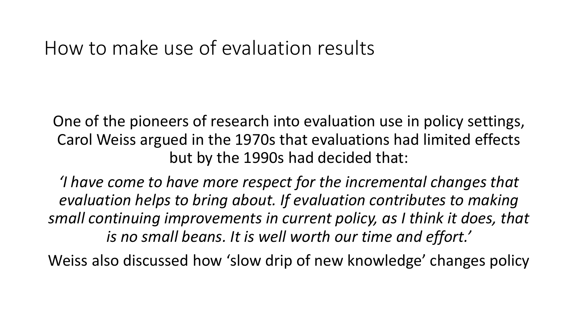One of the pioneers of research into evaluation use in policy settings, Carol Weiss argued in the 1970s that evaluations had limited effects but by the 1990s had decided that:

*'I have come to have more respect for the incremental changes that evaluation helps to bring about. If evaluation contributes to making small continuing improvements in current policy, as I think it does, that is no small beans. It is well worth our time and effort.'*

Weiss also discussed how 'slow drip of new knowledge' changes policy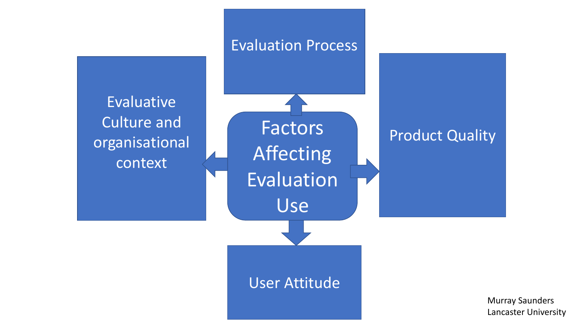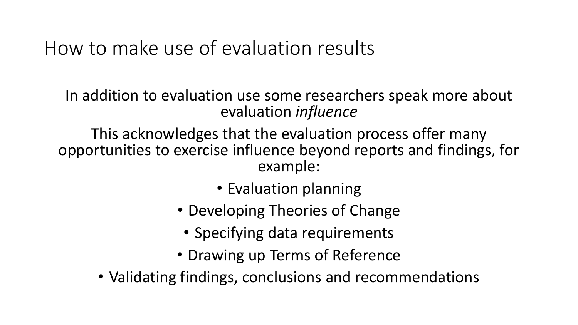In addition to evaluation use some researchers speak more about evaluation *influence*

This acknowledges that the evaluation process offer many opportunities to exercise influence beyond reports and findings, for example:

- Evaluation planning
- Developing Theories of Change
	- Specifying data requirements
- Drawing up Terms of Reference
- Validating findings, conclusions and recommendations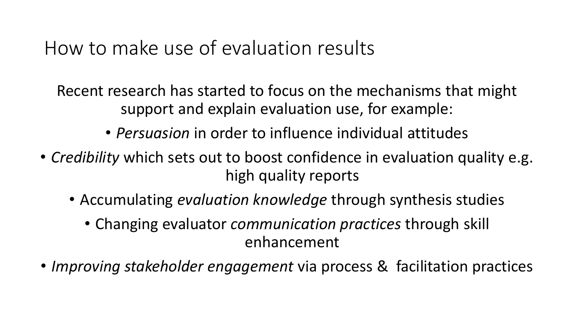Recent research has started to focus on the mechanisms that might support and explain evaluation use, for example:

- *Persuasion* in order to influence individual attitudes
- *Credibility* which sets out to boost confidence in evaluation quality e.g. high quality reports
	- Accumulating *evaluation knowledge* through synthesis studies
		- Changing evaluator *communication practices* through skill enhancement
- *Improving stakeholder engagement* via process & facilitation practices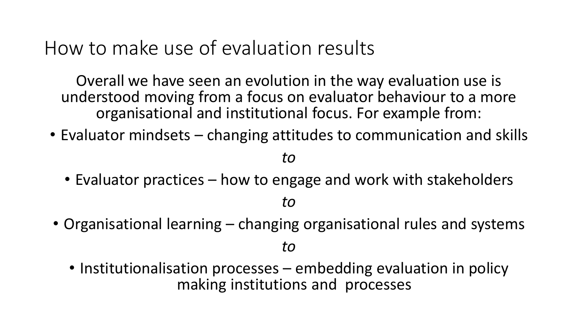Overall we have seen an evolution in the way evaluation use is understood moving from a focus on evaluator behaviour to a more organisational and institutional focus. For example from:

• Evaluator mindsets – changing attitudes to communication and skills

*to*

• Evaluator practices – how to engage and work with stakeholders

*to*

• Organisational learning – changing organisational rules and systems

*to*

• Institutionalisation processes – embedding evaluation in policy making institutions and processes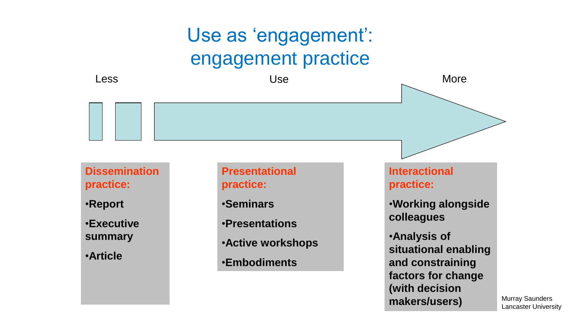## Use as 'engagement': engagement practice



Murray Saunders Lancaster University

**(with decision** 

**makers/users)**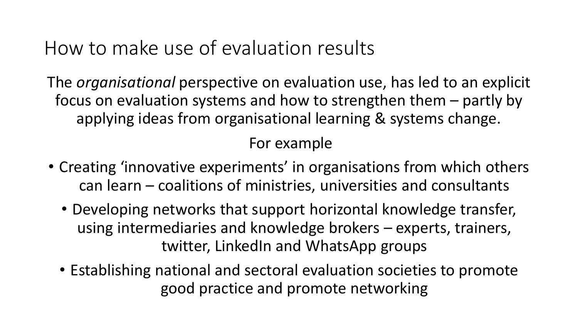The *organisational* perspective on evaluation use, has led to an explicit focus on evaluation systems and how to strengthen them – partly by applying ideas from organisational learning & systems change.

For example

- Creating 'innovative experiments' in organisations from which others can learn – coalitions of ministries, universities and consultants
	- Developing networks that support horizontal knowledge transfer, using intermediaries and knowledge brokers – experts, trainers, twitter, LinkedIn and WhatsApp groups
	- Establishing national and sectoral evaluation societies to promote good practice and promote networking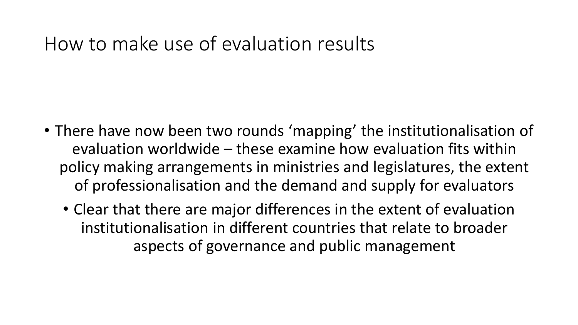- There have now been two rounds 'mapping' the institutionalisation of evaluation worldwide – these examine how evaluation fits within policy making arrangements in ministries and legislatures, the extent of professionalisation and the demand and supply for evaluators
	- Clear that there are major differences in the extent of evaluation institutionalisation in different countries that relate to broader aspects of governance and public management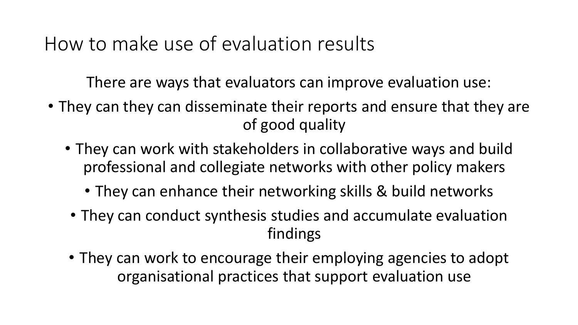There are ways that evaluators can improve evaluation use:

- They can they can disseminate their reports and ensure that they are of good quality
	- They can work with stakeholders in collaborative ways and build professional and collegiate networks with other policy makers
		- They can enhance their networking skills & build networks
	- They can conduct synthesis studies and accumulate evaluation findings
	- They can work to encourage their employing agencies to adopt organisational practices that support evaluation use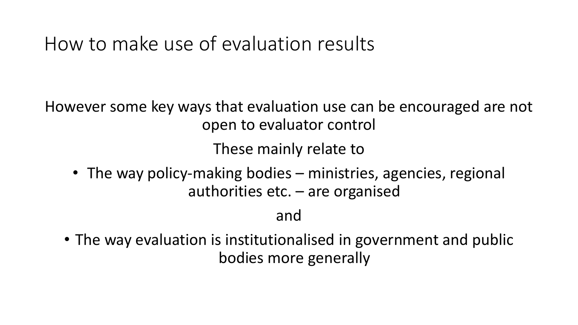However some key ways that evaluation use can be encouraged are not open to evaluator control

These mainly relate to

• The way policy-making bodies – ministries, agencies, regional authorities etc. – are organised

and

• The way evaluation is institutionalised in government and public bodies more generally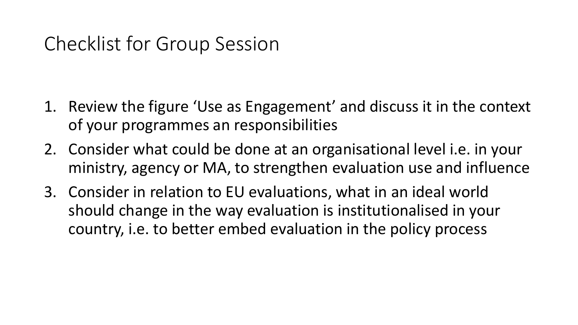## Checklist for Group Session

- 1. Review the figure 'Use as Engagement' and discuss it in the context of your programmes an responsibilities
- 2. Consider what could be done at an organisational level i.e. in your ministry, agency or MA, to strengthen evaluation use and influence
- 3. Consider in relation to EU evaluations, what in an ideal world should change in the way evaluation is institutionalised in your country, i.e. to better embed evaluation in the policy process